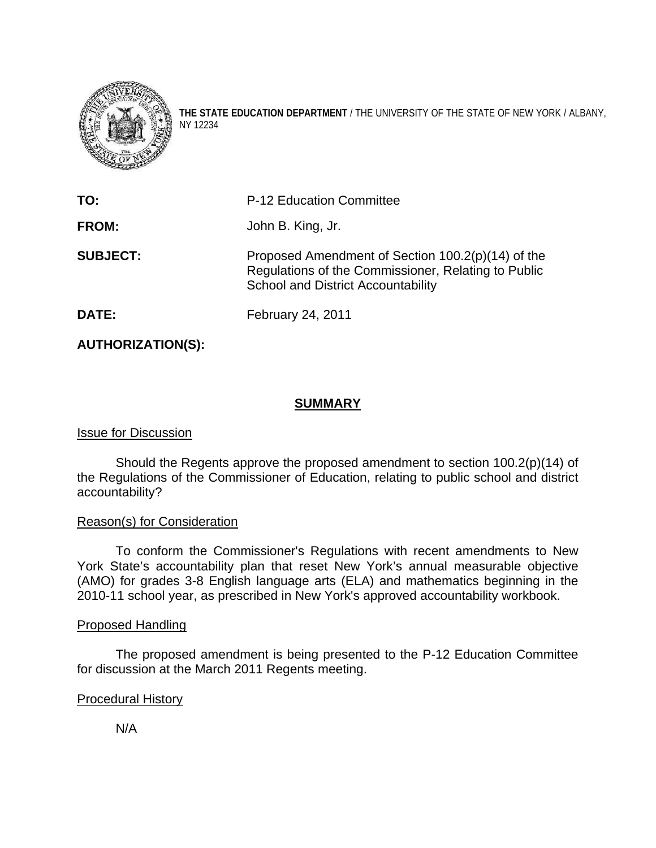

**THE STATE EDUCATION DEPARTMENT** / THE UNIVERSITY OF THE STATE OF NEW YORK / ALBANY, NY 12234

| TO:             | P-12 Education Committee                                                                                                                              |  |  |
|-----------------|-------------------------------------------------------------------------------------------------------------------------------------------------------|--|--|
| <b>FROM:</b>    | John B. King, Jr.                                                                                                                                     |  |  |
| <b>SUBJECT:</b> | Proposed Amendment of Section 100.2(p)(14) of the<br>Regulations of the Commissioner, Relating to Public<br><b>School and District Accountability</b> |  |  |
| DATE:           | February 24, 2011                                                                                                                                     |  |  |

## **AUTHORIZATION(S):**

### **SUMMARY**

#### Issue for Discussion

Should the Regents approve the proposed amendment to section 100.2(p)(14) of the Regulations of the Commissioner of Education, relating to public school and district accountability?

#### Reason(s) for Consideration

 To conform the Commissioner's Regulations with recent amendments to New York State's accountability plan that reset New York's annual measurable objective (AMO) for grades 3-8 English language arts (ELA) and mathematics beginning in the 2010-11 school year, as prescribed in New York's approved accountability workbook.

## Proposed Handling

 The proposed amendment is being presented to the P-12 Education Committee for discussion at the March 2011 Regents meeting.

#### Procedural History

N/A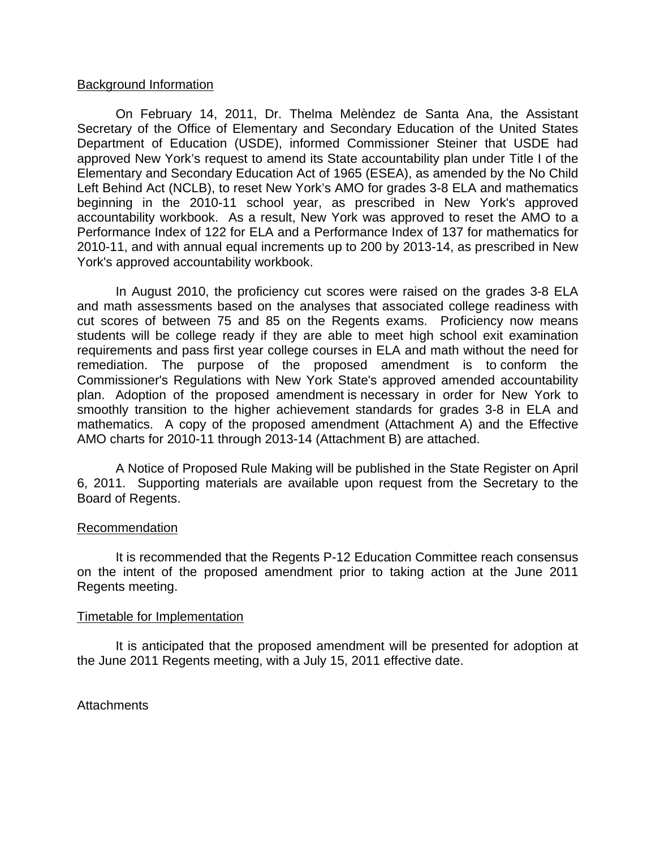#### Background Information

On February 14, 2011, Dr. Thelma Melèndez de Santa Ana, the Assistant Secretary of the Office of Elementary and Secondary Education of the United States Department of Education (USDE), informed Commissioner Steiner that USDE had approved New York's request to amend its State accountability plan under Title I of the Elementary and Secondary Education Act of 1965 (ESEA), as amended by the No Child Left Behind Act (NCLB), to reset New York's AMO for grades 3-8 ELA and mathematics beginning in the 2010-11 school year, as prescribed in New York's approved accountability workbook. As a result, New York was approved to reset the AMO to a Performance Index of 122 for ELA and a Performance Index of 137 for mathematics for 2010-11, and with annual equal increments up to 200 by 2013-14, as prescribed in New York's approved accountability workbook.

In August 2010, the proficiency cut scores were raised on the grades 3-8 ELA and math assessments based on the analyses that associated college readiness with cut scores of between 75 and 85 on the Regents exams. Proficiency now means students will be college ready if they are able to meet high school exit examination requirements and pass first year college courses in ELA and math without the need for remediation. The purpose of the proposed amendment is to conform the Commissioner's Regulations with New York State's approved amended accountability plan. Adoption of the proposed amendment is necessary in order for New York to smoothly transition to the higher achievement standards for grades 3-8 in ELA and mathematics. A copy of the proposed amendment (Attachment A) and the Effective AMO charts for 2010-11 through 2013-14 (Attachment B) are attached.

A Notice of Proposed Rule Making will be published in the State Register on April 6, 2011. Supporting materials are available upon request from the Secretary to the Board of Regents.

#### **Recommendation**

It is recommended that the Regents P-12 Education Committee reach consensus on the intent of the proposed amendment prior to taking action at the June 2011 Regents meeting.

#### Timetable for Implementation

It is anticipated that the proposed amendment will be presented for adoption at the June 2011 Regents meeting, with a July 15, 2011 effective date.

Attachments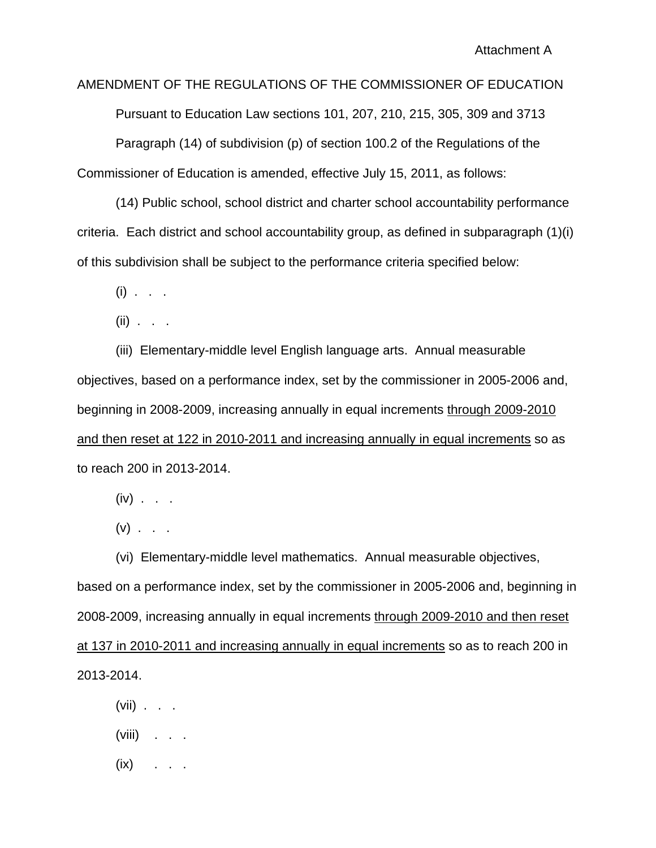AMENDMENT OF THE REGULATIONS OF THE COMMISSIONER OF EDUCATION Pursuant to Education Law sections 101, 207, 210, 215, 305, 309 and 3713 Paragraph (14) of subdivision (p) of section 100.2 of the Regulations of the Commissioner of Education is amended, effective July 15, 2011, as follows:

 (14) Public school, school district and charter school accountability performance criteria. Each district and school accountability group, as defined in subparagraph (1)(i) of this subdivision shall be subject to the performance criteria specified below:

 $(i)$  . . .

(ii) . . .

 (iii) Elementary-middle level English language arts. Annual measurable objectives, based on a performance index, set by the commissioner in 2005-2006 and, beginning in 2008-2009, increasing annually in equal increments through 2009-2010 and then reset at 122 in 2010-2011 and increasing annually in equal increments so as to reach 200 in 2013-2014.

 $(iv)$  . . .

 $(v)$  . . .

 (vi) Elementary-middle level mathematics. Annual measurable objectives, based on a performance index, set by the commissioner in 2005-2006 and, beginning in 2008-2009, increasing annually in equal increments through 2009-2010 and then reset at 137 in 2010-2011 and increasing annually in equal increments so as to reach 200 in 2013-2014.

- (vii)  $\ldots$
- (viii) . . .
- $(ix)$  . . .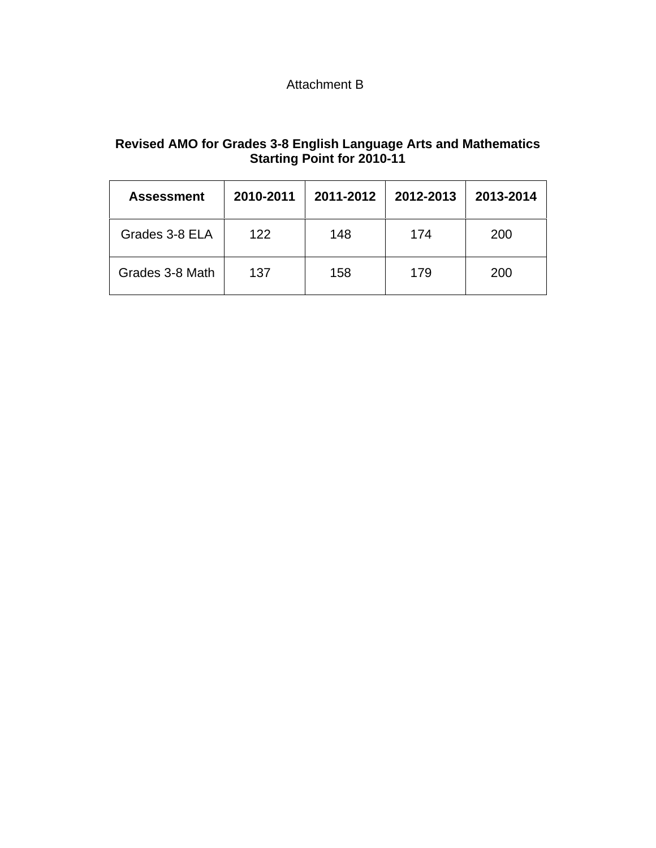# Attachment B

# **Revised AMO for Grades 3-8 English Language Arts and Mathematics Starting Point for 2010-11**

| <b>Assessment</b> | 2010-2011 | 2011-2012 | 2012-2013 | 2013-2014 |
|-------------------|-----------|-----------|-----------|-----------|
| Grades 3-8 ELA    | 122       | 148       | 174       | 200       |
| Grades 3-8 Math   | 137       | 158       | 179       | 200       |